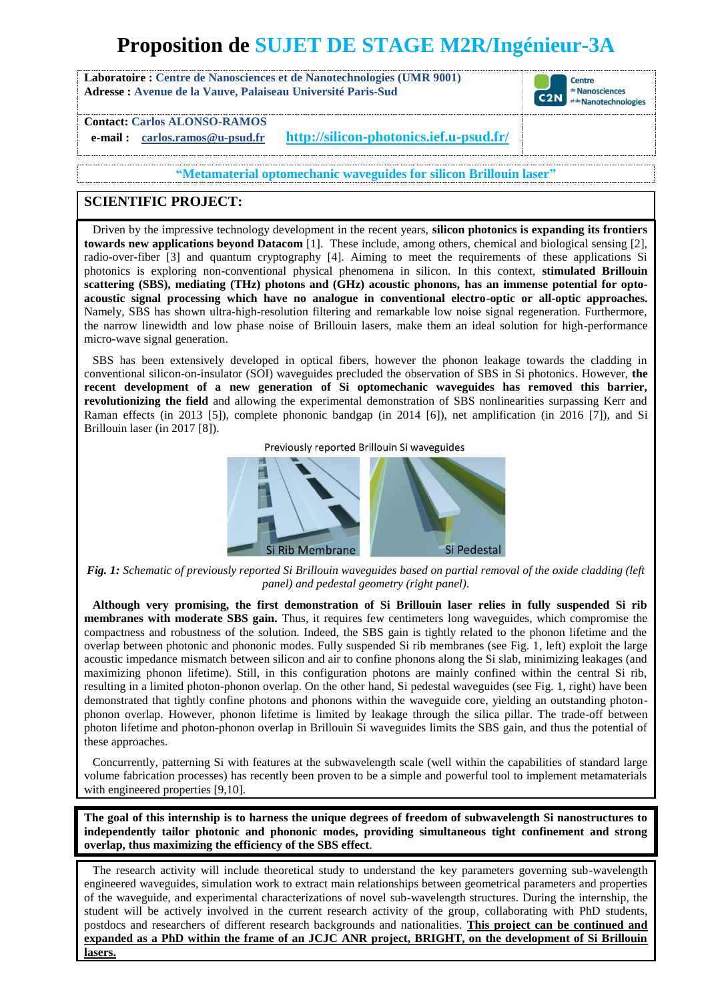# **Proposition de SUJET DE STAGE M2R/Ingénieur-3A**

**Laboratoire : Centre de Nanosciences et de Nanotechnologies (UMR 9001) Adresse : Avenue de la Vauve, Palaiseau Université Paris-Sud**



**Contact: Carlos ALONSO-RAMOS**

**e-mail : carlos.ramos@u-psud.fr <http://silicon-photonics.ief.u-psud.fr/>**

**"Metamaterial optomechanic waveguides for silicon Brillouin laser"**

# **SCIENTIFIC PROJECT:**

Driven by the impressive technology development in the recent years, **silicon photonics is expanding its frontiers towards new applications beyond Datacom** [1]. These include, among others, chemical and biological sensing [2], radio-over-fiber [3] and quantum cryptography [4]. Aiming to meet the requirements of these applications Si photonics is exploring non-conventional physical phenomena in silicon. In this context, **stimulated Brillouin scattering (SBS), mediating (THz) photons and (GHz) acoustic phonons, has an immense potential for optoacoustic signal processing which have no analogue in conventional electro-optic or all-optic approaches.** Namely, SBS has shown ultra-high-resolution filtering and remarkable low noise signal regeneration. Furthermore, the narrow linewidth and low phase noise of Brillouin lasers, make them an ideal solution for high-performance micro-wave signal generation.

SBS has been extensively developed in optical fibers, however the phonon leakage towards the cladding in conventional silicon-on-insulator (SOI) waveguides precluded the observation of SBS in Si photonics. However, **the recent development of a new generation of Si optomechanic waveguides has removed this barrier, revolutionizing the field** and allowing the experimental demonstration of SBS nonlinearities surpassing Kerr and Raman effects (in 2013 [5]), complete phononic bandgap (in 2014 [6]), net amplification (in 2016 [7]), and Si Brillouin laser (in 2017 [8]).

Previously reported Brillouin Si waveguides



*Fig. 1: Schematic of previously reported Si Brillouin waveguides based on partial removal of the oxide cladding (left panel) and pedestal geometry (right panel).*

**Although very promising, the first demonstration of Si Brillouin laser relies in fully suspended Si rib membranes with moderate SBS gain.** Thus, it requires few centimeters long waveguides, which compromise the compactness and robustness of the solution. Indeed, the SBS gain is tightly related to the phonon lifetime and the overlap between photonic and phononic modes. Fully suspended Si rib membranes (see Fig. 1, left) exploit the large acoustic impedance mismatch between silicon and air to confine phonons along the Si slab, minimizing leakages (and maximizing phonon lifetime). Still, in this configuration photons are mainly confined within the central Si rib, resulting in a limited photon-phonon overlap. On the other hand, Si pedestal waveguides (see Fig. 1, right) have been demonstrated that tightly confine photons and phonons within the waveguide core, yielding an outstanding photonphonon overlap. However, phonon lifetime is limited by leakage through the silica pillar. The trade-off between photon lifetime and photon-phonon overlap in Brillouin Si waveguides limits the SBS gain, and thus the potential of these approaches.

Concurrently, patterning Si with features at the subwavelength scale (well within the capabilities of standard large volume fabrication processes) has recently been proven to be a simple and powerful tool to implement metamaterials with engineered properties [9,10].

**The goal of this internship is to harness the unique degrees of freedom of subwavelength Si nanostructures to independently tailor photonic and phononic modes, providing simultaneous tight confinement and strong overlap, thus maximizing the efficiency of the SBS effect**.

The research activity will include theoretical study to understand the key parameters governing sub-wavelength engineered waveguides, simulation work to extract main relationships between geometrical parameters and properties of the waveguide, and experimental characterizations of novel sub-wavelength structures. During the internship, the student will be actively involved in the current research activity of the group, collaborating with PhD students, postdocs and researchers of different research backgrounds and nationalities. **This project can be continued and expanded as a PhD within the frame of an JCJC ANR project, BRIGHT, on the development of Si Brillouin lasers.**